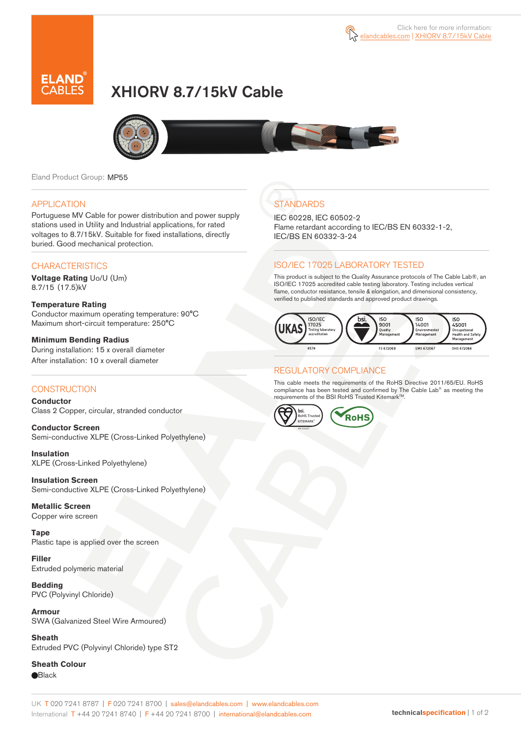

# XHIORV 8.7/15kV Cable



Eland Product Group: MP55

#### APPLICATION

Portuguese MV Cable for power distribution and power supply stations used in Utility and Industrial applications, for rated voltages to 8.7/15kV. Suitable for fixed installations, directly buried. Good mechanical protection.

### **CHARACTERISTICS**

**Voltage Rating** Uo/U (Um) 8.7/15 (17.5)kV

#### **Temperature Rating**  Conductor maximum operating temperature: 90°C Maximum short-circuit temperature: 250°C

**Minimum Bending Radius**  During installation: 15 x overall diameter After installation: 10 x overall diameter

### **CONSTRUCTION**

**Conductor**  Class 2 Copper, circular, stranded conductor

**Conductor Screen** Semi-conductive XLPE (Cross-Linked Polyethylene)

**Insulation** XLPE (Cross-Linked Polyethylene)

**Insulation Screen** Semi-conductive XLPE (Cross-Linked Polyethylene)

**Metallic Screen**  Copper wire screen

**Tape**  Plastic tape is applied over the screen

**Filler** Extruded polymeric material

**Bedding** PVC (Polyvinyl Chloride)

**Armour** SWA (Galvanized Steel Wire Armoured)

**Sheath** Extruded PVC (Polyvinyl Chloride) type ST2

**Sheath Colour Black** 

# **STANDARDS**

IEC 60228, IEC 60502-2 Flame retardant according to IEC/BS EN 60332-1-2, IEC/BS EN 60332-3-24

### ISO/IEC 17025 LABORATORY TESTED

This product is subject to the Quality Assurance protocols of The Cable Lab®, an ISO/IEC 17025 accredited cable testing laboratory. Testing includes vertical flame, conductor resistance, tensile & elongation, and dimensional consistency, verified to published standards and approved product drawings.



### REGULATORY COMPLIANCE

This cable meets the requirements of the RoHS Directive 2011/65/EU. RoHS compliance has been tested and confirmed by The Cable Lab® as meeting the requirements of the BSI RoHS Trusted Kitemark™.